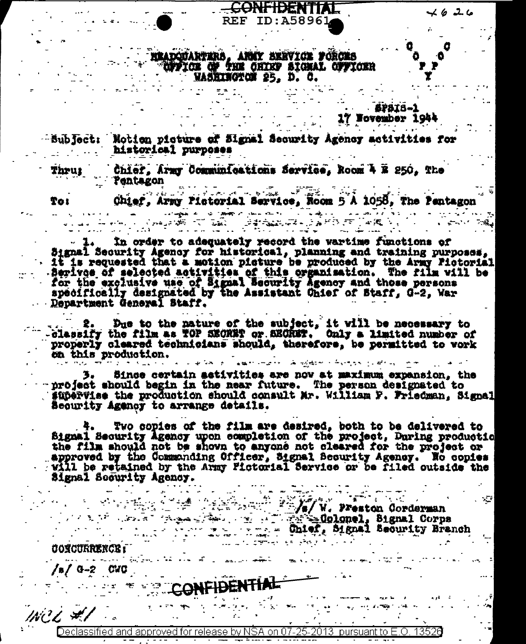y y

Y

## HEADQUARTERS, ANNY SERVICE FORCES<br>CUFFICE OF THE CHIKP SIGNAL CUFICER WASHINGTON 25, D. C.

**ENFIDENTIAL** 

**REF ID: A58961** 

- SPSIS-1 17 Wovember 1944

Subfact: Motion picture of Signal Security Agency activities for historical purposes

Thrug Chief, Army Communications Service, Room 4 E 250, The **Pentagon** 

ستان المستقرر المستقرر المستقرر المستقرر المستقرر المستقرر المستقرر المستقرر المستقرر المستقرر المستقرر المستقرر المستقرر المستقرر المستقرر المستقرر المستقرر المستقرر المستقرر المستقرر المستقرر المستقرر المستقرر المستقرر

Chief, Army Pictorial Service, Room 5 A 1058, The Pentagon To 1

Spage of the Company of the Company of the Company of the Company of the Company of the Company of the Company In order to adequately record the wartime functions of Signal Security Agency for historical, planning and training purposes, Berives of selected activities of this organisation. The film will be<br>for the exclusive use of Signal Security Agency and those persons<br>specifically designated by the Assistant Chief of Staff, G-2, War

Department General Staff.

Due to the nature of the subject, it will be necessary to classify the film as TOP SEORET or SEORET. Only a limited number of properly cleared technicians should, therefore, be permitted to vork on this production. المستحدث وسأمط والمتواصل فالمتكاف المتطاعة المتحدث والطاعا

Since certain activities are now at maximum expansion, the project should begin in the near future. The person designated to supervise the production should consult Mr. William F. Friedman. Signal Security Agency to arrange details.

Two copies of the film are desired, both to be delivered to Signal Security Agency upon completion of the project, During production the film should not be shown to anyone not cleared for the project or approved by the Commanding Officer, Signal Becurity Agency. Wo copies will be retained by the Army Fictorial Service or be filed outside the Signal Scourity Agency.

W. Preston Corderman<br>
Signal Corps<br>
Signal Corps<br>
Signal Security Branch

 $\mathcal{L}$ 

**CORCURRENCE:** 

 $/6/0 - 2$  CVC

**CONFIDENTIAL** 

WCL #1

Declassified and approved for release by NSA on 07-25-2013 pursuant to E.O. 13520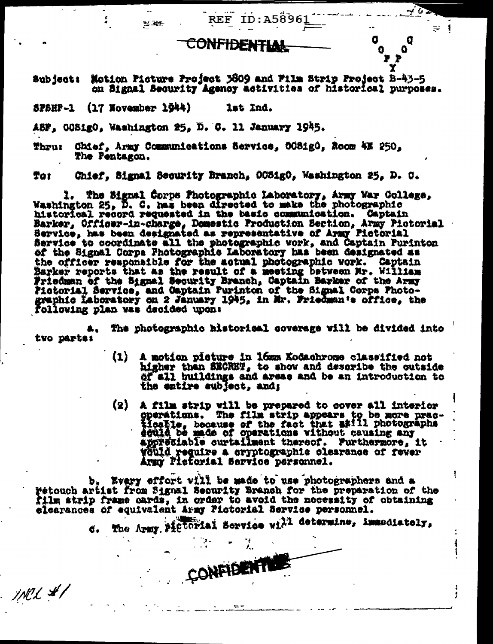**REF ID:A58961** 

 $=$  1

ļ

U

٥

## CONFIDENTIAN

Subject: Motion Picture Project 3809 and Film Strip Project B-43-5 on Signal Security Agency activities of historical purposes.

 $576HP-1$  (17 November 1944) lat Ind.

医囊

ASF, OCSigO, Washington 25, D. C. 11 January 1945.

Thru: Chief, Army Communications Service, OCS1gO, Room 4E 250, The Pentagon.

Chief, Signal Security Branch, OCSigO, Washington 25, D. C. To:

1. The Signal Corps Photographic Laboratory, Army War College,<br>Washington 25, D. C. has been directed to make the photographic historical record requested in the basic communication. Captain<br>Barker, Officer-in-charge, Domestic Production Bertion, Army Pictorial<br>Bervice, has been designated as representative of Army Pictorial Service to coordinate all the photographic work, and Captain Purinton of the Signal Corps Photographic Laboratory has been designated as the officer responsible for the actual photographic vork. Captain<br>Barker reports that as the result of a meeting between Mr. William<br>Friedman of the Signal Security Branch, Captain Barker of the Army<br>Fictorial Service, and graphic Laboratory on 2 January 1945, in Mr. Friedman's office, the following plan was decided upon:

The photographic historical coverage will be divided into tvo parts:

- $\{1\}$ A motion picture in lomm Kodachrome classified not higher than SECRET, to show and describe the outside of all buildings and areas and be an introduction to the entire aublect, and;
- A film strip will be prepared to cover all interior<br>goerations. The film strip appears to be more prac-<br>ticable, because of the fact that still photographs<br>eculd be made of operations without causing any<br>appreciable curtai (2) would require a cryptographic olearance of fever Army Pictorial Service personnel.

b, kvery effort vill be made to use photographers and a Fetouch artist from Signal Security Branch for the preparation of the film strip frame cards, in order to avoid the necessity of obtaining elearances of equivalent Army Pictorial Bervice personnel.

6. The Army Pictorial Service will determine, immediately,

CONFIDENT

INCL #1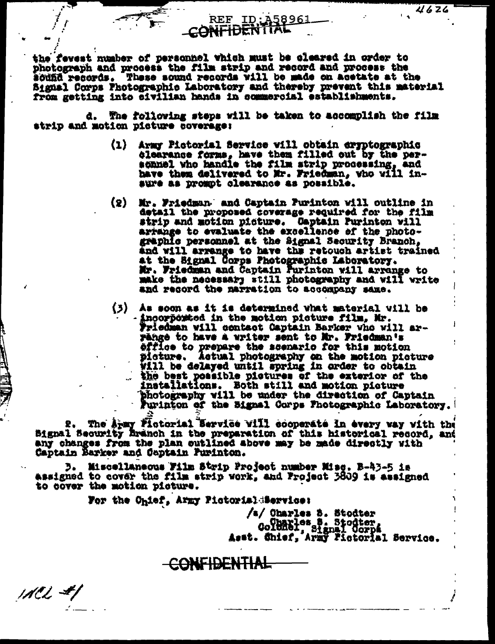the fevest number of personnel which must be cleared in order to photograph and process the film strip and record and process the sound records. These sound records will be made on acetate at the Signal Corps Photographic Laboratory and thereby prevent this material from getting into eivilian hands in commercial establishments.

CONTIDENTIAL

REF ID: 458961

d. The following steps will be taken to accomplish the film strip and motion picture coverage:

> $(1)$ Army Pictorial Service vill obtain eryptographic clearance forms, have them filled out by the per-sonnel who handle the film strip processing, and have them delivered to Mr. Friedman, who will insure as promot clearance as possible.

 $4626$ 

- Mr. Friedman and Captain Purinton will outline in  $(2)$ detail the proposed coverage required for the film strip and motion picture. Captain Purinton will arrange to evaluate the excellence of the photographic personnel at the Signal Security Branch. and will arrange to have the retouch artist trained at the Signal Corps Photographic Laboratory.<br>Mr. Friedman and Captain Purinton will arrange to make the necessary still photography and will write and record the marration to accompany same.
- $(3)$  As soon as it is determined what material vill be - incorported in the motion picture film, Mr.<br>Friedman will contact Captain Barker who will arrange to have a writer sent to Mr. Friedman's office to prepare the scenario for this motion picture. Actual photography on the motion picture Vill be delayed until spring in order to obtain the best possible pictures of the exterior of the installations. Both still and motion picture photography vill be under the direction of Captain Furinton of the Signal Corps Fhotographic Laboratory.

The Apmy Flotorial Bervice Vill cooperate in every way with the Bignal Security Branch in the preparation of this historical record, and any changes from the plan outlined above may be made directly with Captain Barker and Captain Purinton.

**D. Miscellaneous Film Strip Project number Misc. B-43-5 is** assigned to cover the film strip work, and Project 3809 is assigned to cover the motion picture.

For the Chief, Army Pictorial Service:

 $MCL$  #/

/a/ Charles S. Stodter Columbies S. Stodter,<br>Columbi, Signal Corps<br>Asat. Shief, Army Fictorial Service.

**CONFIDENTIAL**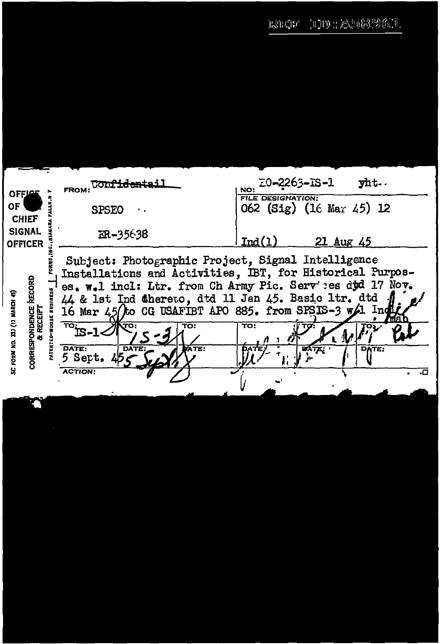$\left\vert \mathbb{H}\right. \mathbb{H}\left\vert \mathbb{H}\right. \mathbb{M} \left\vert \mathbb{M}\right. \mathbb{M} \left\vert \mathbb{M}\right. \mathbb{M} \left\vert \mathbb{M}\right. \mathbb{M} \left\vert \mathbb{M}\right. \mathbb{M}$  $\mathbb{R}\hat{\otimes}\mathbb{H}^{\mathbb{C}}\hat{\mathbb{H}}^{\mathbb{C}}$ 

| <b>OFFICE</b>                                                                    | <del>Confidentai</del><br><b>FROM:</b>                                                                                                                                                                                                                                                                                                                                                                                                                           | E0-2263-IS-1<br>yht.<br>NO:<br><b>FILE DESIGNATION:</b> |  |  |  |  |  |
|----------------------------------------------------------------------------------|------------------------------------------------------------------------------------------------------------------------------------------------------------------------------------------------------------------------------------------------------------------------------------------------------------------------------------------------------------------------------------------------------------------------------------------------------------------|---------------------------------------------------------|--|--|--|--|--|
| ΟF<br><b>CHIEF</b>                                                               | <b>SPSEO</b>                                                                                                                                                                                                                                                                                                                                                                                                                                                     | 062 (Sig) (16 Mar 45) 12                                |  |  |  |  |  |
| <b>SIGNAL</b><br><b>OFFICER</b>                                                  | ER-35638                                                                                                                                                                                                                                                                                                                                                                                                                                                         | Ind(1)<br>21 Aug 45                                     |  |  |  |  |  |
| RECORD<br>33) (13 MARCH 45)<br><b>CORRESPONDENCE</b><br>& RECEIPT<br>SC FORM NO. | Subject: Photographic Project, Signal Intelligence<br>Installations and Activities, IBT, for Historical Purpos-<br>es. w.l incl: Ltr. from Ch Army Pic. Serv :es dtd 17 Nov.<br>44 & 1st Ind Chereto, dtd 11 Jan 45. Basic 1tr. dtd<br>16 Mar 45/to CG USAFIBT APO 885. from SPSIS-3 w/l India<br>$\overline{\text{ca}}$ -1-<br>$\overline{\text{co}}$ :<br>TO:<br>TO:<br><b>ATEKTED</b><br>DATE:<br>DATE:<br>ATE.<br><b>DAT</b><br>5 Sert. 45<br><b>ACTION.</b> |                                                         |  |  |  |  |  |
|                                                                                  |                                                                                                                                                                                                                                                                                                                                                                                                                                                                  |                                                         |  |  |  |  |  |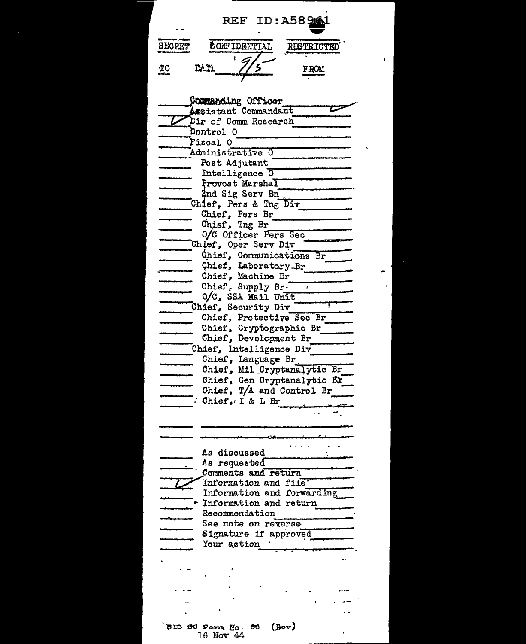| REF ID: A58946                                    |
|---------------------------------------------------|
|                                                   |
| SECRET<br>CONFIDENTIAL<br><b>RESTRICTED</b>       |
|                                                   |
| DA 31<br><u> ምዕ</u><br><b>FROM</b>                |
|                                                   |
|                                                   |
| Commanding Officer                                |
| Assistant Commandant                              |
| Dir of Comm Research<br>Control O                 |
| Fiscal O                                          |
| Administrative O                                  |
| Post Adjutant                                     |
| Intelligence 0                                    |
| Provost Marshal                                   |
| 2nd Sig Serv Bn<br>Chief, Pers & Tng Div          |
| Chief, Pers Br                                    |
| Chief, Tng Br                                     |
| 0/C Officer Pers Sec                              |
| Chief, Oper Serv Div                              |
| Chief, Communications Br                          |
| Chief, Laboratory-Br                              |
| Chief, Machine Br_<br>Chief, Supply Br.           |
| O/C, SSA Mail Unit_                               |
| Chief, Security Div                               |
| Chief, Protective Sec Br                          |
| Chief, Cryptographic Br                           |
| Chief, Development Br                             |
| Chief, Intelligence Div                           |
| Chief, Language Br<br>Chief, Mil Cryptanalytic Br |
| Chief, Gen Cryptanalytic El                       |
| Chief, T/A and Control<br>Br                      |
| Chief, I & L Br                                   |
|                                                   |
|                                                   |
|                                                   |
| As discussed                                      |
| As requested                                      |
| Comments and return                               |
| Information and file                              |
| Information and forwarding                        |
| Information and return                            |
| Recommendation<br>See note on revorse             |
| Signature if approved                             |
| Your action                                       |
|                                                   |
|                                                   |
|                                                   |
|                                                   |
|                                                   |
|                                                   |
|                                                   |

 $\mathbf{r}^{\prime}$ 

ļ  $\hat{\phantom{a}}$  $\mathbf{r}$ 

SIS SC Form  $M_0$  96 (Rov)<br>16 Nov 44

 $\mathcal{L}^{\pm}$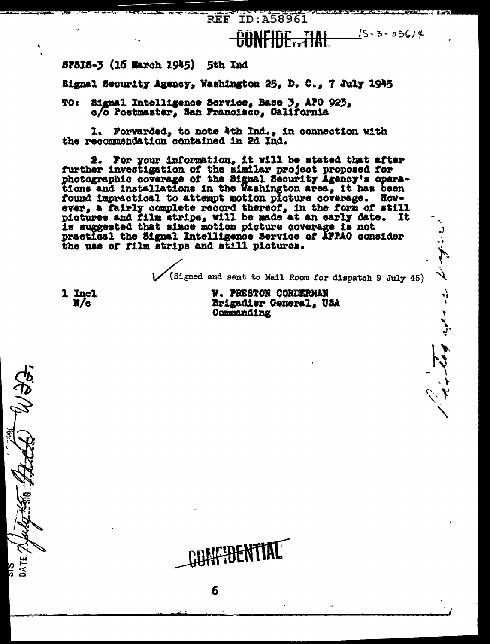**REF ID: A58961** 

## $15 - 3 - 03614$ <u>GÖNFIDE TIAL</u>

8PSIS-3 (16 March 1945) 5th Ind

Bignal Security Agency, Washington 25, D. C., 7 July 1945

Signal Intelligence Service, Base 3, APO 923,<br>c/o Postmaster, San Francisco, Galifornia TO :

1. Forwarded, to note 4th Ind., in connection with the recommendation contained in 2d Ind.

2. For your information, it will be stated that after further investigation of the similar project proposed for photographic coverage of the Signal Security Agency's operations and installations in the Washington area, it has been found impractical to attempt motion picture coverage. However, a fairly complete record thereof, in the form of still pictures and film strips, will be made at an early date. It is suggested that since motion picture coverage is not practical the Signal Intelligence Service of AFPAO consider the use of film strips and still pictures.

FIHENTIA

6

(Signed and sent to Mail Room for dispatch 9 July 45)

المهاموم المدار المراسطة في

1 Incl  $x/c$ 

V. PRESTON CORDERMAN Brigadier General, USA Commanding

DATE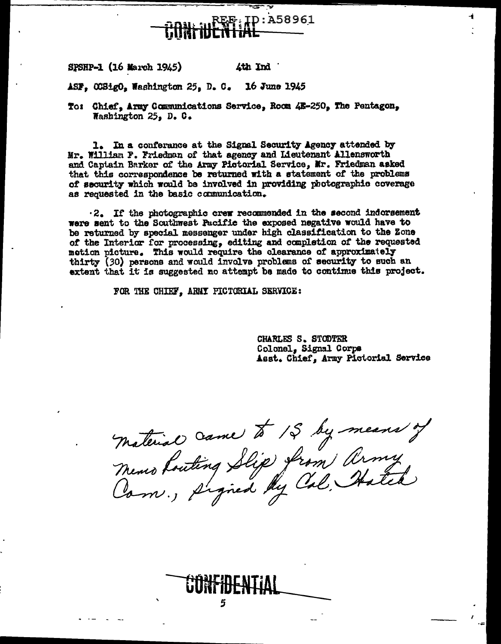## D:A58961

SPSHP-1 (16 March 1945) 4th Ind

ASF, 00SigO, Washington 25, D. C. 16 June 1945

To: Chief, Army Communications Service, Room 4E-250, The Pentagon, Washington  $25<sub>2</sub>$  D. C.

1. In a conferance at the Signal Security Agency attended by Mr. William F. Friedman of that agency and Lieutenant Allensworth and Captain Barker of the Army Pictorial Service, Mr. Friedman asked that this correspondence be returned with a statement of the problems of security which would be involved in providing photographic coverage as requested in the basic communication.

.2. If the photographic crew recommended in the second indorsement were sent to the Southwest Pacific the exposed negative would have to be returned by special messenger under high classification to the Zone of the Interior for processing, editing and completion of the requested motion picture. This would require the clearance of approximately thirty (30) persons and would involve problems of security to such an extent that it is suggested no attempt be made to continue this project.

FOR THE CHIEF, ARMI PICTORIAL SERVICE:

CHARLES S. STODTER Colonel, Signal Corps Asst. Chief, Army Pictorial Service

Material Came to 15 by means of